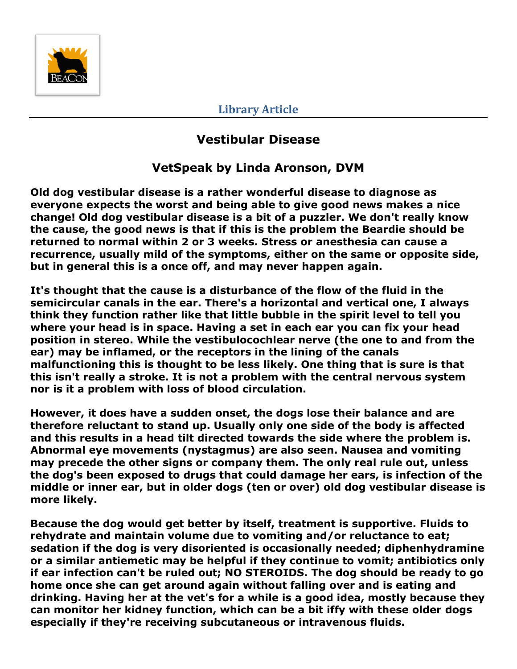

**Library Article**

## **Vestibular Disease**

## **VetSpeak by Linda Aronson, DVM**

**Old dog vestibular disease is a rather wonderful disease to diagnose as everyone expects the worst and being able to give good news makes a nice change! Old dog vestibular disease is a bit of a puzzler. We don't really know the cause, the good news is that if this is the problem the Beardie should be returned to normal within 2 or 3 weeks. Stress or anesthesia can cause a recurrence, usually mild of the symptoms, either on the same or opposite side, but in general this is a once off, and may never happen again.**

**It's thought that the cause is a disturbance of the flow of the fluid in the semicircular canals in the ear. There's a horizontal and vertical one, I always think they function rather like that little bubble in the spirit level to tell you where your head is in space. Having a set in each ear you can fix your head position in stereo. While the vestibulocochlear nerve (the one to and from the ear) may be inflamed, or the receptors in the lining of the canals malfunctioning this is thought to be less likely. One thing that is sure is that this isn't really a stroke. It is not a problem with the central nervous system nor is it a problem with loss of blood circulation.** 

**However, it does have a sudden onset, the dogs lose their balance and are therefore reluctant to stand up. Usually only one side of the body is affected and this results in a head tilt directed towards the side where the problem is. Abnormal eye movements (nystagmus) are also seen. Nausea and vomiting may precede the other signs or company them. The only real rule out, unless the dog's been exposed to drugs that could damage her ears, is infection of the middle or inner ear, but in older dogs (ten or over) old dog vestibular disease is more likely.** 

**Because the dog would get better by itself, treatment is supportive. Fluids to rehydrate and maintain volume due to vomiting and/or reluctance to eat; sedation if the dog is very disoriented is occasionally needed; diphenhydramine or a similar antiemetic may be helpful if they continue to vomit; antibiotics only if ear infection can't be ruled out; NO STEROIDS. The dog should be ready to go home once she can get around again without falling over and is eating and drinking. Having her at the vet's for a while is a good idea, mostly because they can monitor her kidney function, which can be a bit iffy with these older dogs especially if they're receiving subcutaneous or intravenous fluids.**